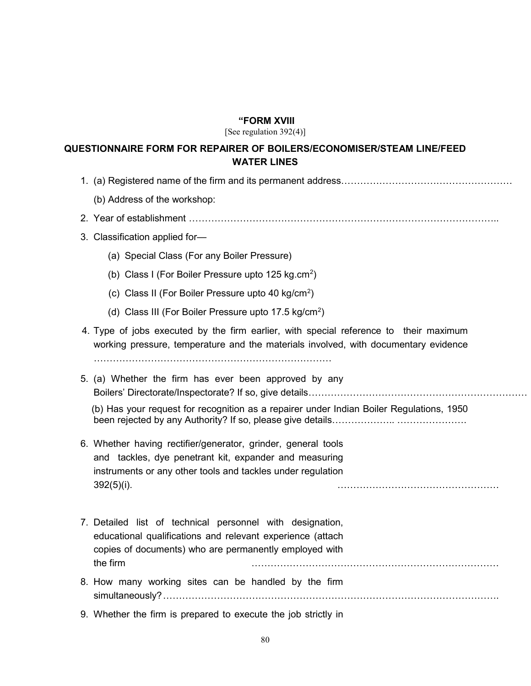## "FORM XVIII

[See regulation 392(4)]

## QUESTIONNAIRE FORM FOR REPAIRER OF BOILERS/ECONOMISER/STEAM LINE/FEED WATER LINES

- 1. (a) Registered name of the firm and its permanent address………………………………………………
	- (b) Address of the workshop:
- 2. Year of establishment ……………………………………………………………………………………..
- 3. Classification applied for—
	- (a) Special Class (For any Boiler Pressure)
- (b) Class I (For Boiler Pressure upto 125 kg.cm<sup>2</sup>)
- (c) Class II (For Boiler Pressure upto 40 kg/cm<sup>2</sup>)
- (d) Class III (For Boiler Pressure upto 17.5 kg/cm<sup>2</sup>)
	- 4. Type of jobs executed by the firm earlier, with special reference to their maximum working pressure, temperature and the materials involved, with documentary evidence

…………………………………………………………………

 5. (a) Whether the firm has ever been approved by any Boilers' Directorate/Inspectorate? If so, give details……………………………………………………………………

 (b) Has your request for recognition as a repairer under Indian Boiler Regulations, 1950 been rejected by any Authority? If so, please give details……………….. ………………….

- 6. Whether having rectifier/generator, grinder, general tools and tackles, dye penetrant kit, expander and measuring instruments or any other tools and tackles under regulation 392(5)(i). ……………………………………………
- 7. Detailed list of technical personnel with designation, educational qualifications and relevant experience (attach copies of documents) who are permanently employed with the firm ……………………………………………………………………
- 8. How many working sites can be handled by the firm simultaneously? …………………………………………………………………………………………….
- 9. Whether the firm is prepared to execute the job strictly in